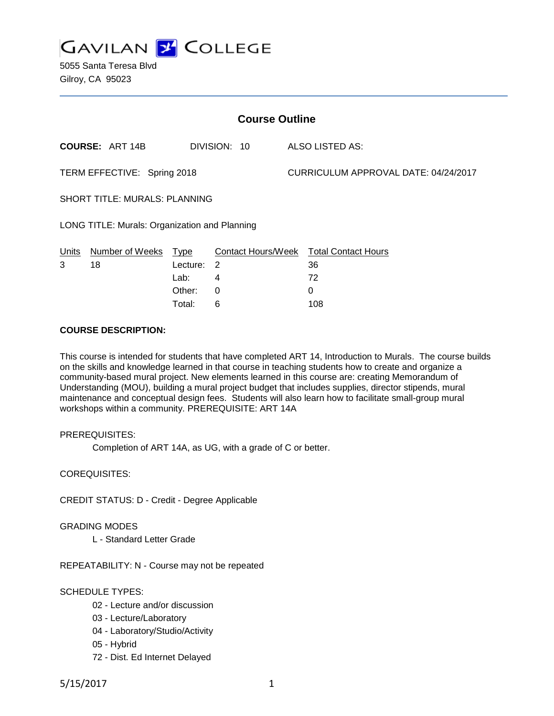

5055 Santa Teresa Blvd Gilroy, CA 95023

| <b>Course Outline</b>                         |                        |          |              |                                      |                                        |
|-----------------------------------------------|------------------------|----------|--------------|--------------------------------------|----------------------------------------|
|                                               | <b>COURSE: ART 14B</b> |          | DIVISION: 10 |                                      | ALSO LISTED AS:                        |
| TERM EFFECTIVE: Spring 2018                   |                        |          |              | CURRICULUM APPROVAL DATE: 04/24/2017 |                                        |
| <b>SHORT TITLE: MURALS: PLANNING</b>          |                        |          |              |                                      |                                        |
| LONG TITLE: Murals: Organization and Planning |                        |          |              |                                      |                                        |
| <b>Units</b>                                  | Number of Weeks Type   |          |              |                                      | Contact Hours/Week Total Contact Hours |
| 3                                             | 18                     | Lecture: | 2            |                                      | 36                                     |
|                                               |                        | Lab:     | 4            |                                      | 72                                     |
|                                               |                        | Other:   | 0            |                                      | 0                                      |
|                                               |                        | Total:   | 6            |                                      | 108                                    |

## **COURSE DESCRIPTION:**

This course is intended for students that have completed ART 14, Introduction to Murals. The course builds on the skills and knowledge learned in that course in teaching students how to create and organize a community-based mural project. New elements learned in this course are: creating Memorandum of Understanding (MOU), building a mural project budget that includes supplies, director stipends, mural maintenance and conceptual design fees. Students will also learn how to facilitate small-group mural workshops within a community. PREREQUISITE: ART 14A

## PREREQUISITES:

Completion of ART 14A, as UG, with a grade of C or better.

COREQUISITES:

CREDIT STATUS: D - Credit - Degree Applicable

#### GRADING MODES

L - Standard Letter Grade

REPEATABILITY: N - Course may not be repeated

## SCHEDULE TYPES:

- 02 Lecture and/or discussion
- 03 Lecture/Laboratory
- 04 Laboratory/Studio/Activity
- 05 Hybrid
- 72 Dist. Ed Internet Delayed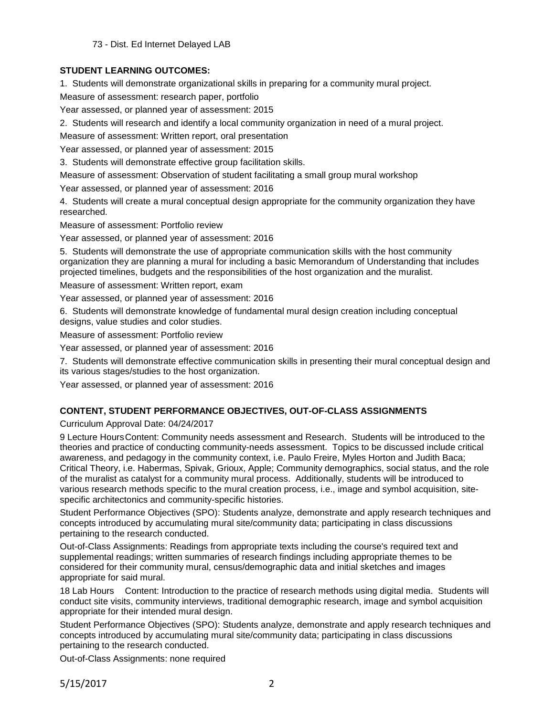73 - Dist. Ed Internet Delayed LAB

# **STUDENT LEARNING OUTCOMES:**

1. Students will demonstrate organizational skills in preparing for a community mural project.

Measure of assessment: research paper, portfolio

Year assessed, or planned year of assessment: 2015

2. Students will research and identify a local community organization in need of a mural project.

Measure of assessment: Written report, oral presentation

Year assessed, or planned year of assessment: 2015

3. Students will demonstrate effective group facilitation skills.

Measure of assessment: Observation of student facilitating a small group mural workshop

Year assessed, or planned year of assessment: 2016

4. Students will create a mural conceptual design appropriate for the community organization they have researched.

Measure of assessment: Portfolio review

Year assessed, or planned year of assessment: 2016

5. Students will demonstrate the use of appropriate communication skills with the host community organization they are planning a mural for including a basic Memorandum of Understanding that includes projected timelines, budgets and the responsibilities of the host organization and the muralist.

Measure of assessment: Written report, exam

Year assessed, or planned year of assessment: 2016

6. Students will demonstrate knowledge of fundamental mural design creation including conceptual designs, value studies and color studies.

Measure of assessment: Portfolio review

Year assessed, or planned year of assessment: 2016

7. Students will demonstrate effective communication skills in presenting their mural conceptual design and its various stages/studies to the host organization.

Year assessed, or planned year of assessment: 2016

# **CONTENT, STUDENT PERFORMANCE OBJECTIVES, OUT-OF-CLASS ASSIGNMENTS**

Curriculum Approval Date: 04/24/2017

9 Lecture HoursContent: Community needs assessment and Research. Students will be introduced to the theories and practice of conducting community-needs assessment. Topics to be discussed include critical awareness, and pedagogy in the community context, i.e. Paulo Freire, Myles Horton and Judith Baca; Critical Theory, i.e. Habermas, Spivak, Grioux, Apple; Community demographics, social status, and the role of the muralist as catalyst for a community mural process. Additionally, students will be introduced to various research methods specific to the mural creation process, i.e., image and symbol acquisition, sitespecific architectonics and community-specific histories.

Student Performance Objectives (SPO): Students analyze, demonstrate and apply research techniques and concepts introduced by accumulating mural site/community data; participating in class discussions pertaining to the research conducted.

Out-of-Class Assignments: Readings from appropriate texts including the course's required text and supplemental readings; written summaries of research findings including appropriate themes to be considered for their community mural, census/demographic data and initial sketches and images appropriate for said mural.

18 Lab Hours Content: Introduction to the practice of research methods using digital media. Students will conduct site visits, community interviews, traditional demographic research, image and symbol acquisition appropriate for their intended mural design.

Student Performance Objectives (SPO): Students analyze, demonstrate and apply research techniques and concepts introduced by accumulating mural site/community data; participating in class discussions pertaining to the research conducted.

Out-of-Class Assignments: none required

5/15/2017 2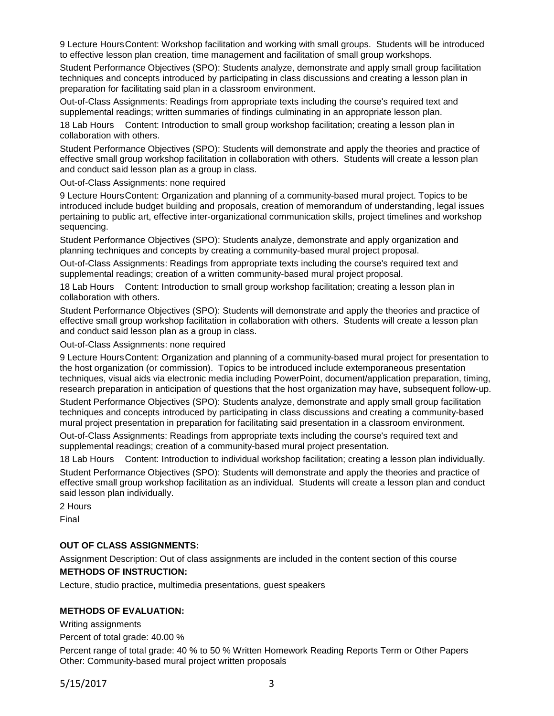9 Lecture HoursContent: Workshop facilitation and working with small groups. Students will be introduced to effective lesson plan creation, time management and facilitation of small group workshops.

Student Performance Objectives (SPO): Students analyze, demonstrate and apply small group facilitation techniques and concepts introduced by participating in class discussions and creating a lesson plan in preparation for facilitating said plan in a classroom environment.

Out-of-Class Assignments: Readings from appropriate texts including the course's required text and supplemental readings; written summaries of findings culminating in an appropriate lesson plan.

18 Lab Hours Content: Introduction to small group workshop facilitation; creating a lesson plan in collaboration with others.

Student Performance Objectives (SPO): Students will demonstrate and apply the theories and practice of effective small group workshop facilitation in collaboration with others. Students will create a lesson plan and conduct said lesson plan as a group in class.

Out-of-Class Assignments: none required

9 Lecture HoursContent: Organization and planning of a community-based mural project. Topics to be introduced include budget building and proposals, creation of memorandum of understanding, legal issues pertaining to public art, effective inter-organizational communication skills, project timelines and workshop sequencing.

Student Performance Objectives (SPO): Students analyze, demonstrate and apply organization and planning techniques and concepts by creating a community-based mural project proposal.

Out-of-Class Assignments: Readings from appropriate texts including the course's required text and supplemental readings; creation of a written community-based mural project proposal.

18 Lab Hours Content: Introduction to small group workshop facilitation; creating a lesson plan in collaboration with others.

Student Performance Objectives (SPO): Students will demonstrate and apply the theories and practice of effective small group workshop facilitation in collaboration with others. Students will create a lesson plan and conduct said lesson plan as a group in class.

Out-of-Class Assignments: none required

9 Lecture HoursContent: Organization and planning of a community-based mural project for presentation to the host organization (or commission). Topics to be introduced include extemporaneous presentation techniques, visual aids via electronic media including PowerPoint, document/application preparation, timing, research preparation in anticipation of questions that the host organization may have, subsequent follow-up.

Student Performance Objectives (SPO): Students analyze, demonstrate and apply small group facilitation techniques and concepts introduced by participating in class discussions and creating a community-based mural project presentation in preparation for facilitating said presentation in a classroom environment.

Out-of-Class Assignments: Readings from appropriate texts including the course's required text and supplemental readings; creation of a community-based mural project presentation.

18 Lab Hours Content: Introduction to individual workshop facilitation; creating a lesson plan individually. Student Performance Objectives (SPO): Students will demonstrate and apply the theories and practice of effective small group workshop facilitation as an individual. Students will create a lesson plan and conduct said lesson plan individually.

2 Hours

Final

## **OUT OF CLASS ASSIGNMENTS:**

Assignment Description: Out of class assignments are included in the content section of this course **METHODS OF INSTRUCTION:**

Lecture, studio practice, multimedia presentations, guest speakers

#### **METHODS OF EVALUATION:**

Writing assignments

Percent of total grade: 40.00 %

Percent range of total grade: 40 % to 50 % Written Homework Reading Reports Term or Other Papers Other: Community-based mural project written proposals